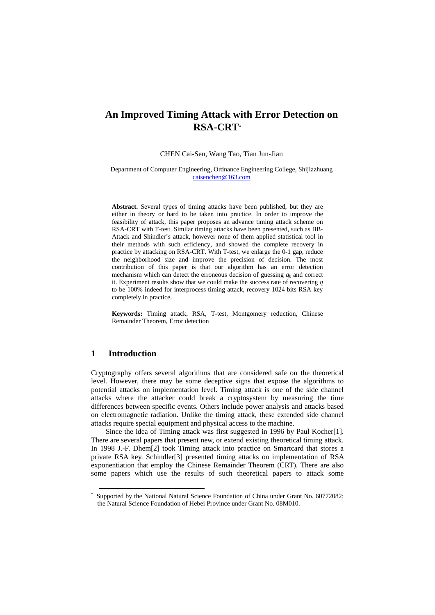# **An Improved Timing Attack with Error Detection on RSA-CRT[\\*](#page-0-0)**

#### CHEN Cai-Sen, Wang Tao, Tian Jun-Jian

Department of Computer Engineering, Ordnance Engineering College, Shijiazhuang [caisenchen@163.com](mailto:caisenchen@163.com)

**Abstract.** Several types of timing attacks have been published, but they are either in theory or hard to be taken into practice. In order to improve the feasibility of attack, this paper proposes an advance timing attack scheme on RSA-CRT with T-test. Similar timing attacks have been presented, such as BB-Attack and Shindler's attack, however none of them applied statistical tool in their methods with such efficiency, and showed the complete recovery in practice by attacking on RSA-CRT. With T-test, we enlarge the 0-1 gap, reduce the neighborhood size and improve the precision of decision. The most contribution of this paper is that our algorithm has an error detection mechanism which can detect the erroneous decision of guessing  $q_k$  and correct it. Experiment results show that we could make the success rate of recovering *q* to be 100% indeed for interprocess timing attack, recovery 1024 bits RSA key completely in practice.

**Keywords:** Timing attack, RSA, T-test, Montgomery reduction, Chinese Remainder Theorem, Error detection

## **1 Introduction**

Cryptography offers several algorithms that are considered safe on the theoretical level. However, there may be some deceptive signs that expose the algorithms to potential attacks on implementation level. Timing attack is one of the side channel attacks where the attacker could break a cryptosystem by measuring the time differences between specific events. Others include power analysis and attacks based on electromagnetic radiation. Unlike the timing attack, these extended side channel attacks require special equipment and physical access to the machine.

Since the idea of Timing attack was first suggested in 1996 by Paul Kocher[1]. There are several papers that present new, or extend existing theoretical timing attack. In 1998 J.-F. Dhem[2] took Timing attack into practice on Smartcard that stores a private RSA key. Schindler[3] presented timing attacks on implementation of RSA exponentiation that employ the Chinese Remainder Theorem (CRT). There are also some papers which use the results of such theoretical papers to attack some

<span id="page-0-0"></span>Supported by the National Natural Science Foundation of China under Grant No. 60772082; the Natural Science Foundation of Hebei Province under Grant No. 08M010.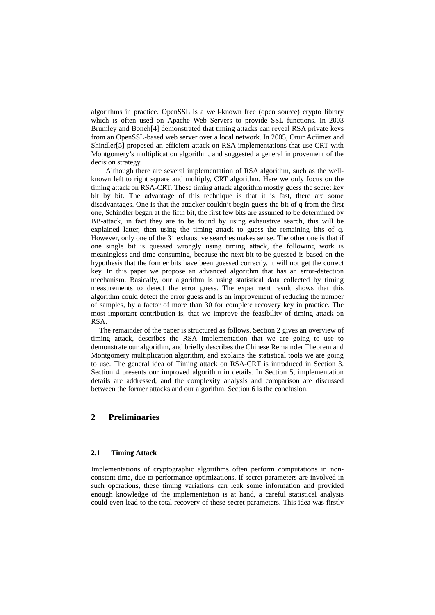algorithms in practice. OpenSSL is a well-known free (open source) crypto library which is often used on Apache Web Servers to provide SSL functions. In 2003 Brumley and Boneh[4] demonstrated that timing attacks can reveal RSA private keys from an OpenSSL-based web server over a local network. In 2005, Onur Aciimez and Shindler[5] proposed an efficient attack on RSA implementations that use CRT with Montgomery's multiplication algorithm, and suggested a general improvement of the decision strategy.

Although there are several implementation of RSA algorithm, such as the wellknown left to right square and multiply, CRT algorithm. Here we only focus on the timing attack on RSA-CRT. These timing attack algorithm mostly guess the secret key bit by bit. The advantage of this technique is that it is fast, there are some disadvantages. One is that the attacker couldn't begin guess the bit of q from the first one, Schindler began at the fifth bit, the first few bits are assumed to be determined by BB-attack, in fact they are to be found by using exhaustive search, this will be explained latter, then using the timing attack to guess the remaining bits of q. However, only one of the 31 exhaustive searches makes sense. The other one is that if one single bit is guessed wrongly using timing attack, the following work is meaningless and time consuming, because the next bit to be guessed is based on the hypothesis that the former bits have been guessed correctly, it will not get the correct key. In this paper we propose an advanced algorithm that has an error-detection mechanism. Basically, our algorithm is using statistical data collected by timing measurements to detect the error guess. The experiment result shows that this algorithm could detect the error guess and is an improvement of reducing the number of samples, by a factor of more than 30 for complete recovery key in practice. The most important contribution is, that we improve the feasibility of timing attack on RSA.

The remainder of the paper is structured as follows. Section 2 gives an overview of timing attack, describes the RSA implementation that we are going to use to demonstrate our algorithm, and briefly describes the Chinese Remainder Theorem and Montgomery multiplication algorithm, and explains the statistical tools we are going to use. The general idea of Timing attack on RSA-CRT is introduced in Section 3. Section 4 presents our improved algorithm in details. In Section 5, implementation details are addressed, and the complexity analysis and comparison are discussed between the former attacks and our algorithm. Section 6 is the conclusion.

## **2 Preliminaries**

## **2.1 Timing Attack**

Implementations of cryptographic algorithms often perform computations in nonconstant time, due to performance optimizations. If secret parameters are involved in such operations, these timing variations can leak some information and provided enough knowledge of the implementation is at hand, a careful statistical analysis could even lead to the total recovery of these secret parameters. This idea was firstly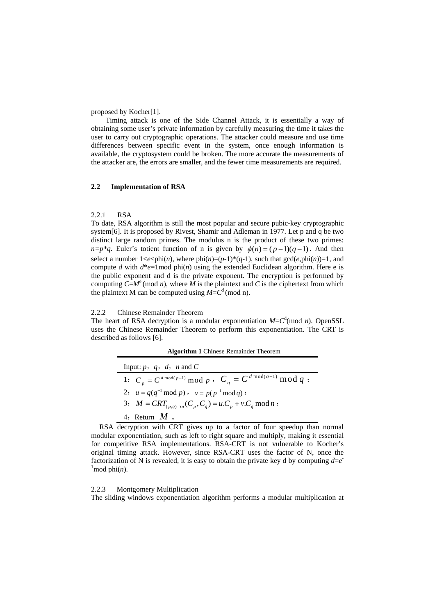proposed by Kocher[1].

Timing attack is one of the Side Channel Attack, it is essentially a way of obtaining some user's private information by carefully measuring the time it takes the user to carry out cryptographic operations. The attacker could measure and use time differences between specific event in the system, once enough information is available, the cryptosystem could be broken. The more accurate the measurements of the attacker are, the errors are smaller, and the fewer time measurements are required.

## **2.2 Implementation of RSA**

#### 2.2.1 RSA

To date, RSA algorithm is still the most popular and secure pubic-key cryptographic system[6]. It is proposed by Rivest, Shamir and Adleman in 1977. Let p and q be two distinct large random primes. The modulus n is the product of these two primes:  $n=p^*q$ . Euler's totient function of n is given by  $\phi(n) = (p-1)(q-1)$ . And then select a number  $1 \le e \le \phi$ hi(*n*), where phi(*n*)=(*p*-1)\*(*q*-1), such that  $gcd(e,phi)$ =1, and compute *d* with  $d^*e=1$  mod phi(*n*) using the extended Euclidean algorithm. Here e is the public exponent and d is the private exponent. The encryption is performed by computing  $C=M^e \pmod{n}$ , where *M* is the plaintext and *C* is the ciphertext from which the plaintext M can be computed using  $M = C<sup>d</sup>$  (mod n).

#### 2.2.2 Chinese Remainder Theorem

The heart of RSA decryption is a modular exponentiation  $M = C<sup>d</sup>$  (mod *n*). OpenSSL uses the Chinese Remainder Theorem to perform this exponentiation. The CRT is described as follows [6].

| <b>Algorithm 1</b> Chinese Remainder Theorem |  |  |  |
|----------------------------------------------|--|--|--|
|----------------------------------------------|--|--|--|

| Input: $p, q, d, n$ and C                                            |
|----------------------------------------------------------------------|
| 1: $C_p = C^{d \mod(p-1)} \mod p$ , $C_a = C^{d \mod(q-1)} \mod q$ ; |
| 2: $u = q(q^{-1} \mod p)$ , $v = p(p^{-1} \mod q)$ ;                 |
| 3: $M = CRT_{(p,q)\to n}(C_p, C_q) = u.C_p + v.C_q \mod n$ ;         |
| 4: Return $M_{\circ}$                                                |

RSA decryption with CRT gives up to a factor of four speedup than normal modular exponentiation, such as left to right square and multiply, making it essential for competitive RSA implementations. RSA-CRT is not vulnerable to Kocher's original timing attack. However, since RSA-CRT uses the factor of N, once the factorization of N is revealed, it is easy to obtain the private key d by computing  $d=e^{\frac{1}{2}}$  $\frac{1}{2}$  mod phi $(n)$ .

#### 2.2.3 Montgomery Multiplication

The sliding windows exponentiation algorithm performs a modular multiplication at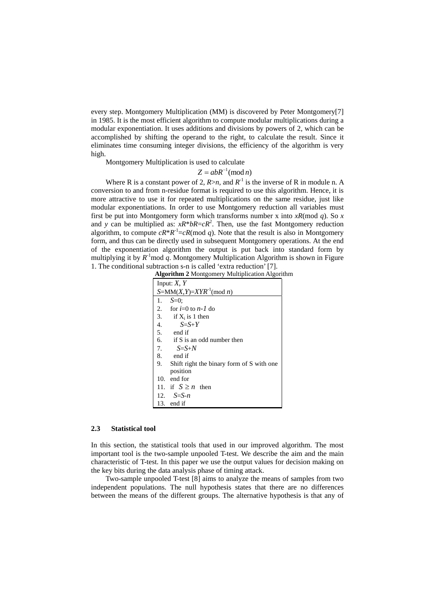every step. Montgomery Multiplication (MM) is discovered by Peter Montgomery[7] in 1985. It is the most efficient algorithm to compute modular multiplications during a modular exponentiation. It uses additions and divisions by powers of 2, which can be accomplished by shifting the operand to the right, to calculate the result. Since it eliminates time consuming integer divisions, the efficiency of the algorithm is very high.

Montgomery Multiplication is used to calculate<br> $Z = abR^{-1} (mod n)$ 

Where R is a constant power of 2,  $R > n$ , and  $R^{-1}$  is the inverse of R in module n. A conversion to and from n-residue format is required to use this algorithm. Hence, it is more attractive to use it for repeated multiplications on the same residue, just like modular exponentiations. In order to use Montgomery reduction all variables must first be put into Montgomery form which transforms number x into *xR*(mod *q*). So *x* and *y* can be multiplied as:  $xR^*bR = cR^2$ . Then, use the fast Montgomery reduction algorithm, to compute  $cR^*R^{-1}=cR \pmod{q}$ . Note that the result is also in Montgomery form, and thus can be directly used in subsequent Montgomery operations. At the end of the exponentiation algorithm the output is put back into standard form by multiplying it by  $R^{-1}$ mod q. Montgomery Multiplication Algorithm is shown in Figure 1. The conditional subtraction s-n is called 'extra reduction' [7].

| <b>Algorithm 2 Montgomery Multiplication Algorithm</b> |  |  |
|--------------------------------------------------------|--|--|
|--------------------------------------------------------|--|--|

| Input: $X, Y$                                   |  |  |  |  |
|-------------------------------------------------|--|--|--|--|
| $S=MM(X,Y)=XYR^{-1}(\text{mod }n)$              |  |  |  |  |
| $S=0$ :<br>1.                                   |  |  |  |  |
| 2.<br>for $i=0$ to $n-1$ do                     |  |  |  |  |
| 3.<br>if $X_i$ is 1 then                        |  |  |  |  |
| 4.<br>$S = S + Y$                               |  |  |  |  |
| 5.<br>end if                                    |  |  |  |  |
| 6.<br>if S is an odd number then                |  |  |  |  |
| 7. $S=S+N$                                      |  |  |  |  |
| 8.<br>end if                                    |  |  |  |  |
| 9.<br>Shift right the binary form of S with one |  |  |  |  |
| position                                        |  |  |  |  |
| 10. end for                                     |  |  |  |  |
| 11. if $S \geq n$ then                          |  |  |  |  |
| 12. $S = S - n$                                 |  |  |  |  |
| 13. end if                                      |  |  |  |  |

#### **2.3 Statistical tool**

In this section, the statistical tools that used in our improved algorithm. The most important tool is the two-sample unpooled T-test. We describe the aim and the main characteristic of T-test. In this paper we use the output values for decision making on the key bits during the data analysis phase of timing attack.

Two-sample unpooled T-test [8] aims to analyze the means of samples from two independent populations. The null hypothesis states that there are no differences between the means of the different groups. The alternative hypothesis is that any of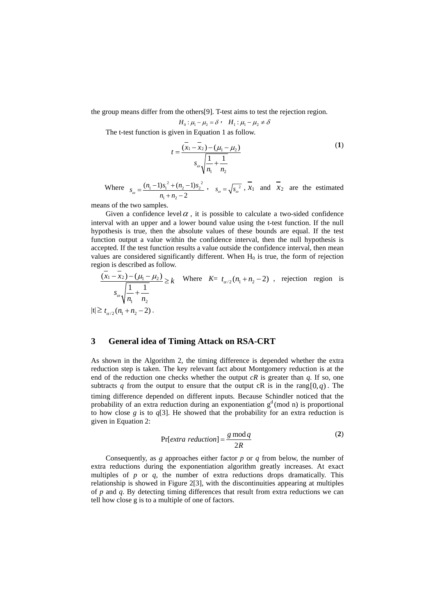the group means differ from the others[9]. T-test aims to test the rejection region.

$$
H_0: \mu_1 - \mu_2 = \delta \cdot H_1: \mu_1 - \mu_2 \neq \delta
$$

The t-test function is given in Equation 1 as follow.

$$
t = \frac{(\bar{x}_1 - \bar{x}_2) - (\mu_1 - \mu_2)}{s_{\omega} \sqrt{\frac{1}{n_1} + \frac{1}{n_2}}}
$$
 (1)

Where  $s = \frac{(n_1 - 1)s_1^2 + (n_2 - 1)s_2^2}{(n_1 - 1)s_1^2 + (n_2 - 1)s_2^2}$  $1 + \frac{1}{2}$  $(n_1-1)s_1^2 + (n_2-1)$  $s_{\omega} = \frac{(n_1 - 1)s_1^2 + (n_2 - 1)s_2^2}{n_1 + n_2 - 2}$ ,  $s_{\omega} = \sqrt{s_{\omega}^2}$ ,  $\overline{x}_1$  and  $\overline{x}_2$  are the estimated

means of the two samples.

Given a confidence level  $\alpha$ , it is possible to calculate a two-sided confidence interval with an upper and a lower bound value using the t-test function. If the null hypothesis is true, then the absolute values of these bounds are equal. If the test function output a value within the confidence interval, then the null hypothesis is accepted. If the test function results a value outside the confidence interval, then mean values are considered significantly different. When  $H_0$  is true, the form of rejection region is described as follow.

$$
\frac{(x_1 - x_2) - (\mu_1 - \mu_2)}{s_{\omega} \sqrt{\frac{1}{n_1} + \frac{1}{n_2}}} \ge k \quad \text{Where} \quad K = t_{\alpha/2}(n_1 + n_2 - 2) \quad \text{rejection region is}
$$
\n
$$
|t| \ge t_{\alpha/2}(n_1 + n_2 - 2).
$$

## **3 General idea of Timing Attack on RSA-CRT**

As shown in the Algorithm 2, the timing difference is depended whether the extra reduction step is taken. The key relevant fact about Montgomery reduction is at the end of the reduction one checks whether the output  $cR$  is greater than  $q$ . If so, one subtracts q from the output to ensure that the output cR is in the rang  $[0, q)$ . The timing difference depended on different inputs. Because Schindler noticed that the probability of an extra reduction during an exponentiation  $g<sup>d</sup>$  (mod n) is proportional to how close *g* is to  $q[3]$ . He showed that the probability for an extra reduction is given in Equation 2:

$$
Pr[extra reduction] = \frac{g \mod q}{2R}
$$
 (2)

Consequently, as *g* approaches either factor *p* or *q* from below, the number of extra reductions during the exponentiation algorithm greatly increases. At exact multiples of *p* or *q*, the number of extra reductions drops dramatically. This relationship is showed in Figure 2[3], with the discontinuities appearing at multiples of *p* and *q*. By detecting timing differences that result from extra reductions we can tell how close g is to a multiple of one of factors.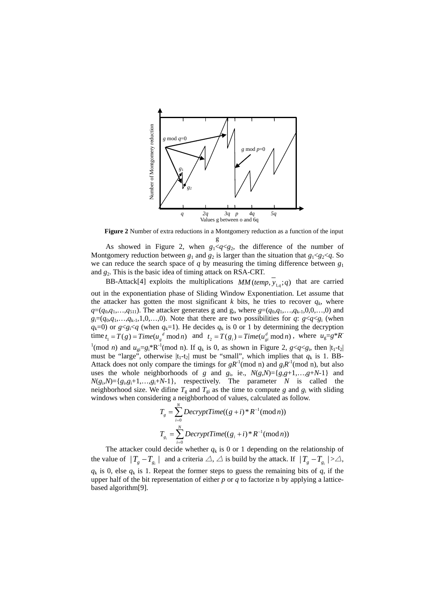

**Figure 2** Number of extra reductions in a Montgomery reduction as a function of the input g

As showed in Figure 2, when  $g_1 < q < g_2$ , the difference of the number of Montgomery reduction between  $g_1$  and  $g_2$  is larger than the situation that  $g_1 < g_2 < q$ . So we can reduce the search space of *q* by measuring the timing difference between  $g_1$ and *g*2. This is the basic idea of timing attack on RSA-CRT.

BB-Attack[4] exploits the multiplications  $MM(temp, \overline{y}_{1,q}; q)$  that are carried out in the exponentiation phase of Sliding Window Exponentiation. Let assume that the attacker has gotten the most significant  $k$  bits, he tries to recover  $q_k$ , where  $q=(q_0, q_1, \ldots, q_{511})$ . The attacker generates g and  $g_i$ , where  $g=(q_0, q_1, \ldots, q_{k-1}, 0, 0, \ldots, 0)$  and  $g_i=(q_0,q_1,\ldots,q_{k-1},1,0,\ldots,0)$ . Note that there are two possibilities for *q*:  $g < q < g_i$  (when  $q_k=0$  or  $g \le g_i \le q$  (when  $q_k=1$ ). He decides  $q_k$  is 0 or 1 by determining the decryption time  $t_1 = T(g) = Time(u_g^d \mod n)$  and  $t_2 = T(g_i) = Time(u_g^d \mod n)$ , where  $u_g = g^*R^d$ <sup>1</sup>(mod *n*) and  $u_{gi}=g_i*R^{-1}$ (mod n). If  $q_k$  is 0, as shown in Figure 2,  $g < q < g_i$ , then  $|t_1-t_2|$ must be "large", otherwise  $|t_1-t_2|$  must be "small", which implies that  $q_k$  is 1. BB-Attack does not only compare the timings for  $gR^{-1}$ (mod n) and  $g_iR^{-1}$ (mod n), but also uses the whole neighborhoods of *g* and  $g_i$ , ie.,  $N(g,N) = \{g,g+1,\ldots,g+N-1\}$  and  $N(g_i, N) = \{g_i, g_i+1, \ldots, g_i+N-1\},$  respectively. The parameter *N* is called the neighborhood size. We difine  $T_g$  and  $T_{gi}$  as the time to compute g and  $g_i$  with sliding windows when considering a neighborhood of values, calculated as follow.

$$
T_g = \sum_{i=0}^{N} DecryptTime((g+i)*R^{-1}(\text{mod } n))
$$

$$
T_{g_i} = \sum_{i=0}^{N} DecryptTime((g_i+i)*R^{-1}(\text{mod } n))
$$

The attacker could decide whether  $q_k$  is 0 or 1 depending on the relationship of the value of  $|T_{g}-T_{g}|\$  and a criteria  $\triangle$ ,  $\triangle$  is build by the attack. If  $|T_{g}-T_{g}|\rangle\triangle$ ,  $q_k$  is 0, else  $q_k$  is 1. Repeat the former steps to guess the remaining bits of  $q$ , if the upper half of the bit representation of either *p* or *q* to factorize n by applying a latticebased algorithm[9].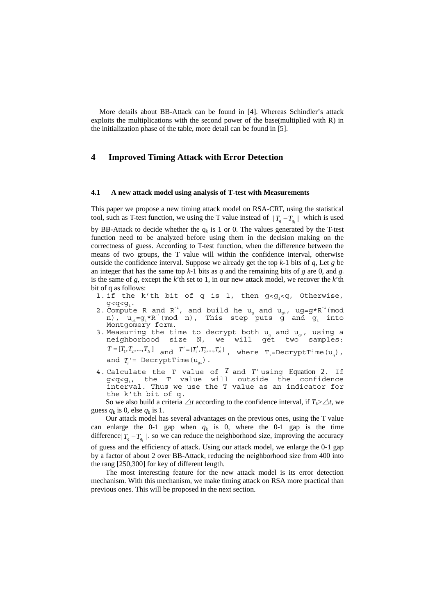More details about BB-Attack can be found in [4]. Whereas Schindler's attack exploits the multiplications with the second power of the base(multiplied with R) in the initialization phase of the table, more detail can be found in [5].

## **4 Improved Timing Attack with Error Detection**

#### **4.1 A new attack model using analysis of T-test with Measurements**

This paper we propose a new timing attack model on RSA-CRT, using the statistical tool, such as T-test function, we using the T value instead of  $|T_a - T_a|$  which is used

by BB-Attack to decide whether the  $q_k$  is 1 or 0. The values generated by the T-test function need to be analyzed before using them in the decision making on the correctness of guess. According to T-test function, when the difference between the means of two groups, the T value will within the confidence interval, otherwise outside the confidence interval. Suppose we already get the top *k*-1 bits of *q*, Let *g* be an integer that has the same top  $k-1$  bits as  $q$  and the remaining bits of  $g$  are 0, and  $g_i$ is the same of *g*, except the *k*'th set to 1, in our new attack model, we recover the *k*'th bit of q as follows:

- 1. if the k'th bit of q is 1, then  $g < g_i < q$ , Otherwise,  $g < g_i < q$ . g<q<g<sub>i</sub>.<br>2. Compute R and R<sup>-1</sup>, and build he u<sub>g</sub> and u<sub>gi</sub>, ug=g\*R<sup>-1</sup>(mod
- n),  $u_{gi}=g_i*R^{-1}(\text{mod }n)$ , This step puts  $g^i$  and  $g_i$  into Montgomery form.
- 3. Measuring the time to decrypt both  $u_g$  and  $u_{gi}$ , using a neighborhood size N, we will get two samples:  $T = [T_1, T_2, ..., T_N]$  and  $T' = [T'_1, T'_2, ..., T'_N]$ , where  $T_i = \text{Decryption}(u_a)$ , and  $T_i$  = DecryptTime( $u_{ai}$ ).
- 4. Calculate the T value of *T* and *T* ' using Equation 2. If  $g < g<sub>i</sub>$ , the T value will outside the confidence interval. Thus we use the T value as an indicator for the k'th bit of q.

So we also build a criteria  $\triangle t$  according to the confidence interval, if  $T_k > \triangle t$ , we guess  $q_k$  is 0, else  $q_k$  is 1.

Our attack model has several advantages on the previous ones, using the T value can enlarge the 0-1 gap when  $q_k$  is 0, where the 0-1 gap is the time difference $|T_{g} - T_{g}$ . so we can reduce the neighborhood size, improving the accuracy of guess and the efficiency of attack. Using our attack model, we enlarge the 0-1 gap by a factor of about 2 over BB-Attack, reducing the neighborhood size from 400 into the rang [250,300] for key of different length.

The most interesting feature for the new attack model is its error detection mechanism. With this mechanism, we make timing attack on RSA more practical than previous ones. This will be proposed in the next section.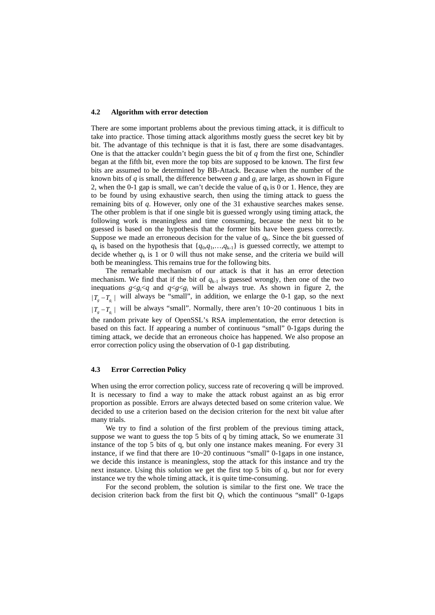#### **4.2 Algorithm with error detection**

There are some important problems about the previous timing attack, it is difficult to take into practice. Those timing attack algorithms mostly guess the secret key bit by bit. The advantage of this technique is that it is fast, there are some disadvantages. One is that the attacker couldn't begin guess the bit of  $q$  from the first one, Schindler began at the fifth bit, even more the top bits are supposed to be known. The first few bits are assumed to be determined by BB-Attack. Because when the number of the known bits of *q* is small, the difference between *g* and *g*i are large, as shown in Figure 2, when the 0-1 gap is small, we can't decide the value of  $q_k$  is 0 or 1. Hence, they are to be found by using exhaustive search, then using the timing attack to guess the remaining bits of *q*. However, only one of the 31 exhaustive searches makes sense. The other problem is that if one single bit is guessed wrongly using timing attack, the following work is meaningless and time consuming, because the next bit to be guessed is based on the hypothesis that the former bits have been guess correctly. Suppose we made an erroneous decision for the value of  $q_k$ . Since the bit guessed of  $q_k$  is based on the hypothesis that  $\{q_0, q_1, \ldots, q_{k-1}\}$  is guessed correctly, we attempt to decide whether  $q_k$  is 1 or 0 will thus not make sense, and the criteria we build will both be meaningless. This remains true for the following bits.

The remarkable mechanism of our attack is that it has an error detection mechanism. We find that if the bit of  $q_{k-1}$  is guessed wrongly, then one of the two inequations  $g < g_i < q$  and  $q < g < g_i$  will be always true. As shown in figure 2, the  $|T_{g} - T_{g_i}|$  will always be "small", in addition, we enlarge the 0-1 gap, so the next |  $|T_a - T_a|$  will be always "small". Normally, there aren't 10~20 continuous 1 bits in the random private key of OpenSSL's RSA implementation, the error detection is based on this fact. If appearing a number of continuous "small" 0-1gaps during the timing attack, we decide that an erroneous choice has happened. We also propose an error correction policy using the observation of 0-1 gap distributing.

#### **4.3 Error Correction Policy**

When using the error correction policy, success rate of recovering q will be improved. It is necessary to find a way to make the attack robust against an as big error proportion as possible. Errors are always detected based on some criterion value. We decided to use a criterion based on the decision criterion for the next bit value after many trials.

We try to find a solution of the first problem of the previous timing attack, suppose we want to guess the top 5 bits of q by timing attack, So we enumerate 31 instance of the top 5 bits of q, but only one instance makes meaning. For every 31 instance, if we find that there are  $10~20$  continuous "small"  $0$ -1gaps in one instance, we decide this instance is meaningless, stop the attack for this instance and try the next instance. Using this solution we get the first top 5 bits of *q*, but nor for every instance we try the whole timing attack, it is quite time-consuming.

For the second problem, the solution is similar to the first one. We trace the decision criterion back from the first bit  $Q_1$  which the continuous "small" 0-1gaps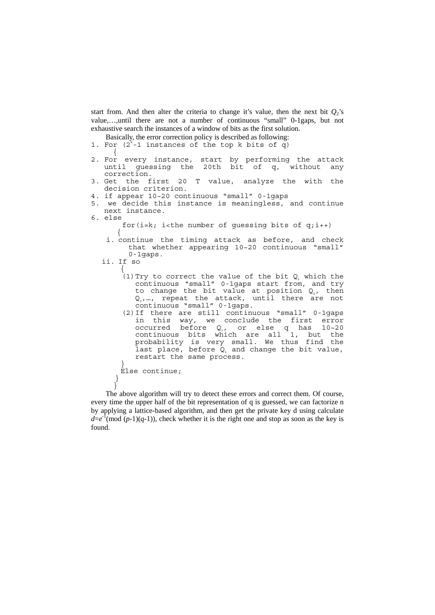start from. And then alter the criteria to change it's value, then the next bit  $Q_2$ 's value,…,until there are not a number of continuous "small" 0-1gaps, but not exhaustive search the instances of a window of bits as the first solution.

Basically, the error correction policy is described as following:

- 1. For  $(2^{k}-1)$  instances of the top k bits of q) {
- 2. For every instance, start by performing the attack until guessing the 20th bit of q, without any correction.<br>3. Get the first
- 20 T value, analyze the with the decision criterion.
- 4. if appear 10~20 continuous "small" 0-1gaps
- 5. we decide this instance is meaningless, and continue next instance.
- 6. else

for( $i=k$ ;  $i$ <the number of guessing bits of  $q_i$ ; $i$ ++) {

i. continue the timing attack as before, and check that whether appearing 10~20 continuous "small" 0-1gaps.

```
ii. If so 
     {
```
}

 $(1)$  Try to correct the value of the bit Q, which the continuous "small" 0-1gaps start from, and try to change the bit value at position  $Q_2$ , then  $Q_{3}$ ,…, repeat the attack, until there are not continuous "small" 0-1gaps.

(2)If there are still continuous "small" 0-1gaps in this way, we conclude the first error occurred before  $Q_i$ , or else q has 10~20 continuous bits which are all 1, but the probability is very small. We thus find the last place, before  $Q_1$  and change the bit value, restart the same process. }

```
Else continue; 
}
```
The above algorithm will try to detect these errors and correct them. Of course, every time the upper half of the bit representation of q is guessed, we can factorize n by applying a lattice-based algorithm, and then get the private key d using calculate  $d=e^{-1}(\text{mod}(p-1)(q-1))$ , check whether it is the right one and stop as soon as the key is found.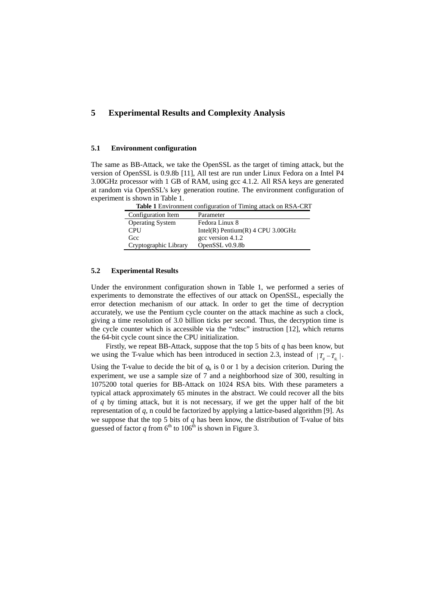## **5 Experimental Results and Complexity Analysis**

## **5.1 Environment configuration**

The same as BB-Attack, we take the OpenSSL as the target of timing attack, but the version of OpenSSL is 0.9.8b [11], All test are run under Linux Fedora on a Intel P4 3.00GHz processor with 1 GB of RAM, using gcc 4.1.2. All RSA keys are generated at random via OpenSSL's key generation routine. The environment configuration of experiment is shown in Table 1.

**Table 1** Environment configuration of Timing attack on RSA-CRT Configuration Item Parameter Operating System Fedora Linux 8 CPU Intel(R) Pentium(R) 4 CPU 3.00GHz Gcc gcc version 4.1.2 Cryptographic Library OpenSSL v0.9.8b

## **5.2 Experimental Results**

Under the environment configuration shown in Table 1, we performed a series of experiments to demonstrate the effectives of our attack on OpenSSL, especially the error detection mechanism of our attack. In order to get the time of decryption accurately, we use the Pentium cycle counter on the attack machine as such a clock, giving a time resolution of 3.0 billion ticks per second. Thus, the decryption time is the cycle counter which is accessible via the "rdtsc" instruction [12], which returns the 64-bit cycle count since the CPU initialization.

Firstly, we repeat BB-Attack, suppose that the top 5 bits of *q* has been know, but we using the T-value which has been introduced in section 2.3, instead of  $|T_a - T_a|$ .

Using the T-value to decide the bit of  $q_k$  is 0 or 1 by a decision criterion. During the experiment, we use a sample size of 7 and a neighborhood size of 300, resulting in 1075200 total queries for BB-Attack on 1024 RSA bits. With these parameters a typical attack approximately 65 minutes in the abstract. We could recover all the bits of *q* by timing attack, but it is not necessary, if we get the upper half of the bit representation of *q*, n could be factorized by applying a lattice-based algorithm [9]. As we suppose that the top 5 bits of *q* has been know, the distribution of T-value of bits guessed of factor *q* from  $6<sup>th</sup>$  to  $106<sup>th</sup>$  is shown in Figure 3.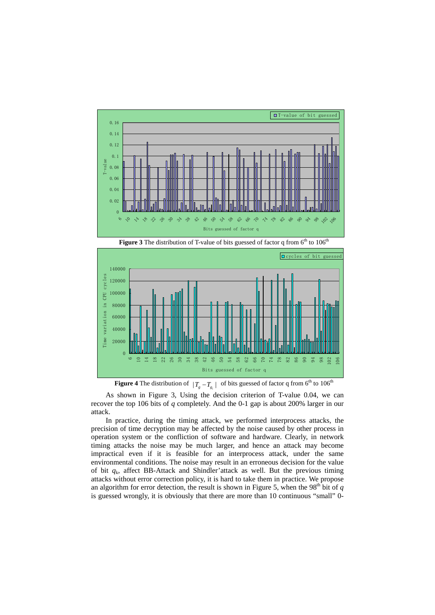





**Figure 4** The distribution of  $|T_g - T_{g_i}|$  of bits guessed of factor q from 6<sup>th</sup> to 106<sup>th</sup>

As shown in Figure 3, Using the decision criterion of T-value 0.04, we can recover the top 106 bits of *q* completely. And the 0-1 gap is about 200% larger in our attack.

In practice, during the timing attack, we performed interprocess attacks, the precision of time decryption may be affected by the noise caused by other process in operation system or the confliction of software and hardware. Clearly, in network timing attacks the noise may be much larger, and hence an attack may become impractical even if it is feasible for an interprocess attack, under the same environmental conditions. The noise may result in an erroneous decision for the value of bit  $q_k$ , affect BB-Attack and Shindler'attack as well. But the previous timing attacks without error correction policy, it is hard to take them in practice. We propose an algorithm for error detection, the result is shown in Figure 5, when the 98<sup>th</sup> bit of  $q$ is guessed wrongly, it is obviously that there are more than 10 continuous "small" 0-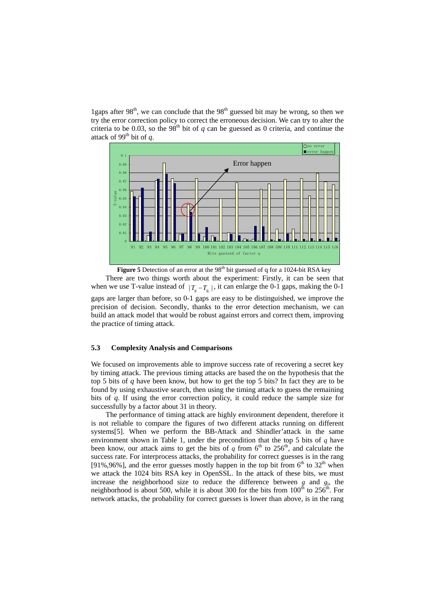1gaps after  $98<sup>th</sup>$ , we can conclude that the  $98<sup>th</sup>$  guessed bit may be wrong, so then we try the error correction policy to correct the erroneous decision. We can try to alter the criteria to be 0.03, so the 98<sup>th</sup> bit of *q* can be guessed as 0 criteria, and continue the attack of 99<sup>th</sup> bit of  $q$ .



**Figure 5** Detection of an error at the  $98<sup>th</sup>$  bit guessed of q for a 1024-bit RSA key There are two things worth about the experiment: Firstly, it can be seen that when we use T-value instead of  $|T_{g} - T_{g}|\right)$ , it can enlarge the 0-1 gaps, making the 0-1 gaps are larger than before, so 0-1 gaps are easy to be distinguished, we improve the precision of decision. Secondly, thanks to the error detection mechanism, we can build an attack model that would be robust against errors and correct them, improving the practice of timing attack.

## **5.3 Complexity Analysis and Comparisons**

We focused on improvements able to improve success rate of recovering a secret key by timing attack. The previous timing attacks are based the on the hypothesis that the top 5 bits of *q* have been know, but how to get the top 5 bits? In fact they are to be found by using exhaustive search, then using the timing attack to guess the remaining bits of *q*. If using the error correction policy, it could reduce the sample size for successfully by a factor about 31 in theory.

The performance of timing attack are highly environment dependent, therefore it is not reliable to compare the figures of two different attacks running on different systems[5]. When we perform the BB-Attack and Shindler'attack in the same environment shown in Table 1, under the precondition that the top 5 bits of *q* have been know, our attack aims to get the bits of  $q$  from  $6<sup>th</sup>$  to 256<sup>th</sup>, and calculate the success rate. For interprocess attacks, the probability for correct guesses is in the rang [91%,96%], and the error guesses mostly happen in the top bit from  $6<sup>th</sup>$  to  $32<sup>th</sup>$  when we attack the 1024 bits RSA key in OpenSSL. In the attack of these bits, we must increase the neighborhood size to reduce the difference between  $g$  and  $g_i$ , the neighborhood is about 500, while it is about 300 for the bits from  $100<sup>th</sup>$  to  $256<sup>th</sup>$ . For network attacks, the probability for correct guesses is lower than above, is in the rang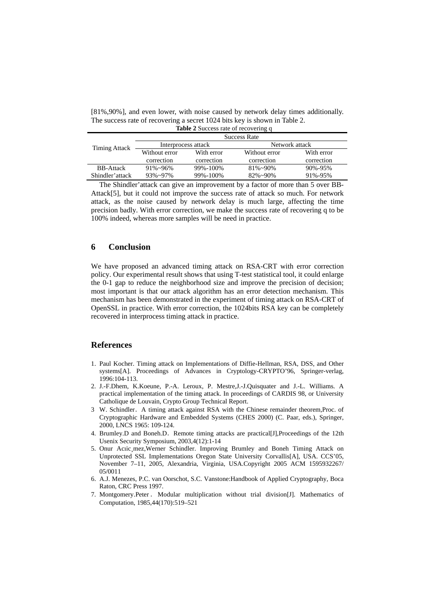[81%,90%], and even lower, with noise caused by network delay times additionally. The success rate of recovering a secret 1024 bits key is shown in Table 2. **Table 2** Success rate of recovering q

| $\frac{1}{2}$ and $\frac{1}{2}$ but $\frac{1}{2}$ and $\frac{1}{2}$ and $\frac{1}{2}$ and $\frac{1}{2}$ and $\frac{1}{2}$ and $\frac{1}{2}$ and $\frac{1}{2}$ and $\frac{1}{2}$ and $\frac{1}{2}$ and $\frac{1}{2}$ and $\frac{1}{2}$ and $\frac{1}{2}$ and $\frac{1}{2}$ and $\frac{1}{2}$ a |                     |            |                  |               |  |
|-----------------------------------------------------------------------------------------------------------------------------------------------------------------------------------------------------------------------------------------------------------------------------------------------|---------------------|------------|------------------|---------------|--|
| Timing Attack                                                                                                                                                                                                                                                                                 | <b>Success Rate</b> |            |                  |               |  |
|                                                                                                                                                                                                                                                                                               | Interprocess attack |            | Network attack   |               |  |
|                                                                                                                                                                                                                                                                                               | Without error       | With error | Without error    | With error    |  |
|                                                                                                                                                                                                                                                                                               | correction          | correction | correction       | correction    |  |
| <b>BB-Attack</b>                                                                                                                                                                                                                                                                              | $91\% - 96\%$       | 99%-100%   | $81\% - 90\%$    | $90\% - 95\%$ |  |
| Shindler'attack                                                                                                                                                                                                                                                                               | $93\% \sim 97\%$    | 99%-100%   | $82\% \sim 90\%$ | 91%-95%       |  |
|                                                                                                                                                                                                                                                                                               |                     |            |                  |               |  |

The Shindler'attack can give an improvement by a factor of more than 5 over BB-Attack[5], but it could not improve the success rate of attack so much. For network attack, as the noise caused by network delay is much large, affecting the time precision badly. With error correction, we make the success rate of recovering q to be 100% indeed, whereas more samples will be need in practice.

## **6 Conclusion**

We have proposed an advanced timing attack on RSA-CRT with error correction policy. Our experimental result shows that using T-test statistical tool, it could enlarge the 0-1 gap to reduce the neighborhood size and improve the precision of decision; most important is that our attack algorithm has an error detection mechanism. This mechanism has been demonstrated in the experiment of timing attack on RSA-CRT of OpenSSL in practice. With error correction, the 1024bits RSA key can be completely recovered in interprocess timing attack in practice.

## **References**

- 1. Paul Kocher. Timing attack on Implementations of Diffie-Hellman, RSA, DSS, and Other systems[A]. Proceedings of Advances in Cryptology-CRYPTO'96, Springer-verlag, 1996:104-113.
- 2. J.-F.Dhem, K.Koeune, P.-A. Leroux, P. Mestre,J.-J.Quisquater and J.-L. Williams. A practical implementation of the timing attack. In proceedings of CARDIS 98, or University Catholique de Louvain, Crypto Group Technical Report.
- 3 W. Schindler.A timing attack against RSA with the Chinese remainder theorem,Proc. of Cryptographic Hardware and Embedded Systems (CHES 2000) (C. Paar, eds.), Springer, 2000, LNCS 1965: 109-124.
- 4. Brumley.D and Boneh.D. Remote timing attacks are practical[J], Proceedings of the 12th Usenix Security Symposium, 2003,4(12):1-14
- 5. Onur Acıic¸mez,Werner Schindler. Improving Brumley and Boneh Timing Attack on Unprotected SSL Implementations Oregon State University Corvallis[A], USA. CCS'05, November 7–11, 2005, Alexandria, Virginia, USA.Copyright 2005 ACM 1595932267/ 05/0011
- 6. A.J. Menezes, P.C. van Oorschot, S.C. Vanstone:Handbook of Applied Cryptography, Boca Raton, CRC Press 1997.
- 7. Montgomery.Peter . Modular multiplication without trial division[J]. Mathematics of Computation, 1985,44(170):519–521